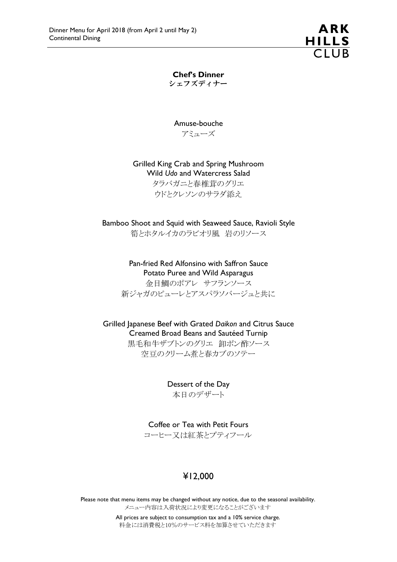ARK HILLS<br>CLUB

Chef's Dinner シェフズディナー

Amuse-bouche アミューズ

Grilled King Crab and Spring Mushroom Wild Udo and Watercress Salad タラバガニと春椎茸のグリエ ウドとクレソンのサラダ添え

Bamboo Shoot and Squid with Seaweed Sauce, Ravioli Style 筍とホタルイカのラビオリ風 岩のリソース

> Pan-fried Red Alfonsino with Saffron Sauce Potato Puree and Wild Asparagus 金目鯛のポアレ サフランソース 新ジャガのピューレとアスパラソバージュと共に

Grilled Japanese Beef with Grated Daikon and Citrus Sauce Creamed Broad Beans and Sautéed Turnip

黒毛和牛ザブトンのグリエ 卸ポン酢ソース 空豆のクリーム煮と春カブのソテー

> Dessert of the Day 本日のデザート

Coffee or Tea with Petit Fours コーヒー又は紅茶とプティフール

### ¥12,000

Please note that menu items may be changed without any notice, due to the seasonal availability. メニュー内容は入荷状況により変更になることがございます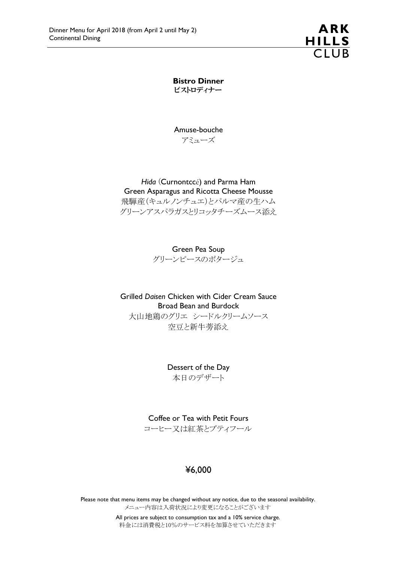**ARK** HILLS<br>CLUB

Bistro Dinner ビストロディナー

Amuse-bouche アミューズ

#### Hida (Curnontccé) and Parma Ham Green Asparagus and Ricotta Cheese Mousse

飛騨産(キュルノンチュエ)とパルマ産の生ハム グリーンアスパラガスとリコッタチーズムース添え

Green Pea Soup

グリーンピースのポタージュ

Grilled Daisen Chicken with Cider Cream Sauce Broad Bean and Burdock

大山地鶏のグリエ シードルクリームソース 空豆と新牛蒡添え

> Dessert of the Day 本日のデザート

Coffee or Tea with Petit Fours コーヒー又は紅茶とプティフール

### ¥6,000

Please note that menu items may be changed without any notice, due to the seasonal availability. メニュー内容は入荷状況により変更になることがございます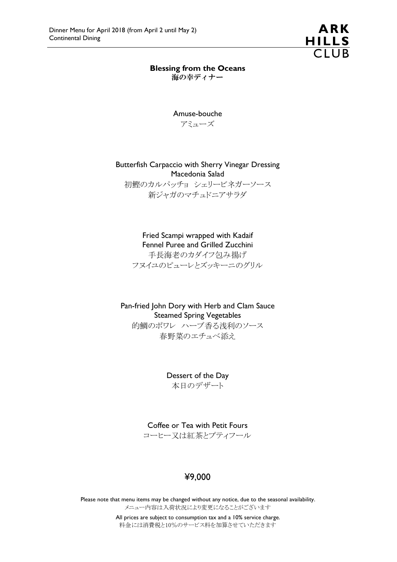

# Blessing from the Oceans

海の幸ディナー

Amuse-bouche アミューズ

Butterfish Carpaccio with Sherry Vinegar Dressing Macedonia Salad

初鰹のカルパッチョ シェリービネガーソース 新ジャガのマチュドニアサラダ

Fried Scampi wrapped with Kadaif Fennel Puree and Grilled Zucchini 手長海老のカダイフ包み揚げ

フヌイユのピューレとズッキーニのグリル

Pan-fried John Dory with Herb and Clam Sauce Steamed Spring Vegetables 的鯛のポワレ ハーブ香る浅利のソース 春野菜のエチュベ添え

> Dessert of the Day 本日のデザート

Coffee or Tea with Petit Fours

コーヒー又は紅茶とプティフール

### ¥9,000

Please note that menu items may be changed without any notice, due to the seasonal availability. メニュー内容は入荷状況により変更になることがございます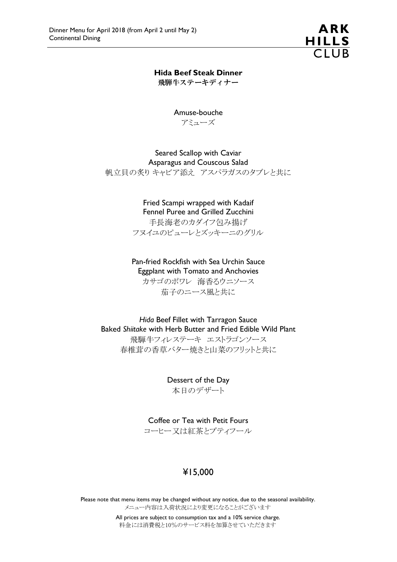

Hida Beef Steak Dinner 飛騨牛ステーキディナー

> Amuse-bouche アミューズ

Seared Scallop with Caviar Asparagus and Couscous Salad 帆立貝の炙り キャビア添え アスパラガスのタブレと共に

> Fried Scampi wrapped with Kadaif Fennel Puree and Grilled Zucchini 手長海老のカダイフ包み揚げ フヌイユのピューレとズッキーニのグリル

Pan-fried Rockfish with Sea Urchin Sauce Eggplant with Tomato and Anchovies カサゴのポワレ 海香るウニソース 茄子のニース風と共に

Hida Beef Fillet with Tarragon Sauce Baked Shiitake with Herb Butter and Fried Edible Wild Plant 飛騨牛フィレステーキ エストラゴンソース 春椎茸の香草バター焼きと山菜のフリットと共に

> Dessert of the Day 本日のデザート

Coffee or Tea with Petit Fours コーヒー又は紅茶とプティフール

### ¥15,000

Please note that menu items may be changed without any notice, due to the seasonal availability. メニュー内容は入荷状況により変更になることがございます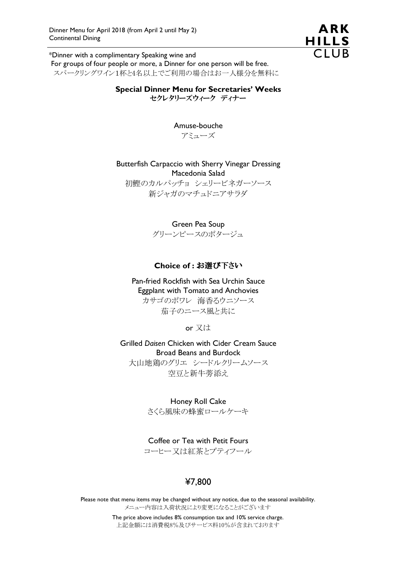

\*Dinner with a complimentary Speaking wine and For groups of four people or more, a Dinner for one person will be free. スパークリングワイン1杯と4名以上でご利用の場合はお一人様分を無料に

> Special Dinner Menu for Secretaries' Weeks セクレタリーズウィーク ディナー

> > Amuse-bouche アミューズ

Butterfish Carpaccio with Sherry Vinegar Dressing Macedonia Salad

初鰹のカルパッチョ シェリービネガーソース 新ジャガのマチュドニアサラダ

Green Pea Soup

グリーンピースのポタージュ

#### Choice of : お選び下さい

Pan-fried Rockfish with Sea Urchin Sauce Eggplant with Tomato and Anchovies カサゴのポワレ 海香るウニソース 茄子のニース風と共に

or 又は

Grilled Daisen Chicken with Cider Cream Sauce Broad Beans and Burdock 大山地鶏のグリエ シードルクリームソース 空豆と新牛蒡添え

Honey Roll Cake

さくら風味の蜂蜜ロールケーキ

Coffee or Tea with Petit Fours

コーヒー又は紅茶とプティフール

## ¥7,800

Please note that menu items may be changed without any notice, due to the seasonal availability. メニュー内容は入荷状況により変更になることがございます

> The price above includes 8% consumption tax and 10% service charge. 上記金額には消費税8%及びサービス料10%が含まれております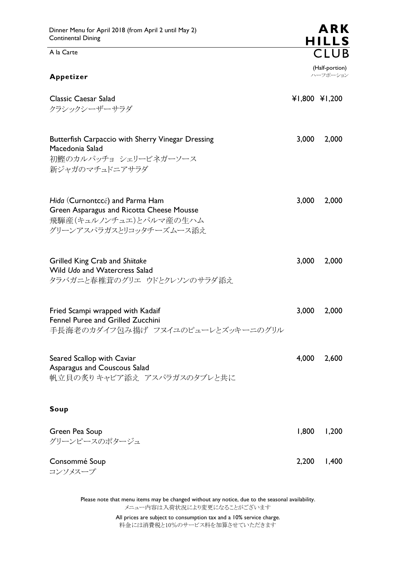A la Carte

| Appetizer                                                                                                                         |       | (Half-portion)<br>ハーフポーション |  |
|-----------------------------------------------------------------------------------------------------------------------------------|-------|----------------------------|--|
| <b>Classic Caesar Salad</b><br>クラシックシーザーサラダ                                                                                       |       | ¥1,800 ¥1,200              |  |
| Butterfish Carpaccio with Sherry Vinegar Dressing<br>Macedonia Salad<br>初鰹のカルパッチョ シェリービネガーソース<br>新ジャガのマチュドニアサラダ                   | 3,000 | 2,000                      |  |
| Hida (Curnontccé) and Parma Ham<br>Green Asparagus and Ricotta Cheese Mousse<br>飛騨産(キュルノンチュエ)とパルマ産の生ハム<br>グリーンアスパラガスとリコッタチーズムース添え | 3,000 | 2,000                      |  |
| Grilled King Crab and Shiitake<br>Wild Udo and Watercress Salad<br>タラバガニと春椎茸のグリエ ウドとクレソンのサラダ添え                                    | 3,000 | 2,000                      |  |
| Fried Scampi wrapped with Kadaif<br>Fennel Puree and Grilled Zucchini<br>手長海老のカダイフ包み揚げ フヌイユのピューレとズッキーニのグリル                        | 3,000 | 2,000                      |  |
| Seared Scallop with Caviar<br>Asparagus and Couscous Salad<br>帆立貝の炙り キャビア添え アスパラガスのタブレと共に                                         | 4,000 | 2,600                      |  |
| Soup                                                                                                                              |       |                            |  |
| Green Pea Soup<br>グリーンピースのポタージュ                                                                                                   | 1,800 | 1,200                      |  |

Consommé Soup 2,200 1,400 コンソメスープ

Please note that menu items may be changed without any notice, due to the seasonal availability. メニュー内容は入荷状況により変更になることがございます